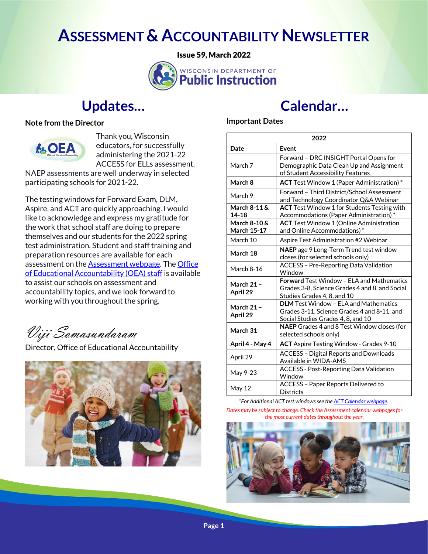## **ASSESSMENT & ACCOUNTABILITY NEWSLETTER**

Issue 59, March 2022



### **Updates…**

**Note from the Director**



Thank you, Wisconsin educators, for successfully administering the 2021-22 ACCESS for ELLs assessment.

NAEP assessments are well underway in selected participating schools for 2021-22.

The testing windows for Forward Exam, DLM, Aspire, and ACT are quickly approaching. I would like to acknowledge and express my gratitude for the work that school staff are doing to prepare themselves and our students for the 2022 spring test administration. Student and staff training and preparation resources are available for each assessment on the **Assessment webpage**. The **Office** [of Educational Accountability \(OEA\) staff](https://dpi.wi.gov/osa-oea/staff-directory) is available to assist our schools on assessment and accountability topics, and we look forward to working with you throughout the spring.

Viji Somasundaram

Director, Office of Educational Accountability



## **Calendar…**

#### **Important Dates**

| 2022                               |                                                                                                                                    |
|------------------------------------|------------------------------------------------------------------------------------------------------------------------------------|
| Date                               | Event                                                                                                                              |
| March 7                            | Forward - DRC INSIGHT Portal Opens for<br>Demographic Data Clean Up and Assignment<br>of Student Accessibility Features            |
| March 8                            | ACT Test Window 1 (Paper Administration) *                                                                                         |
| March 9                            | Forward - Third District/School Assessment<br>and Technology Coordinator Q&A Webinar                                               |
| March 8-11&<br>$14 - 18$           | ACT Test Window 1 for Students Testing with<br>Accommodations (Paper Administration)*                                              |
| March 8-10 &<br><b>March 15-17</b> | <b>ACT</b> Test Window 1 (Online Administration<br>and Online Accommodations)*                                                     |
| March 10                           | Aspire Test Administration #2 Webinar                                                                                              |
| March 18                           | NAEP age 9 Long-Term Trend test window<br>closes (for selected schools only)                                                       |
| March 8-16                         | <b>ACCESS - Pre-Reporting Data Validation</b><br>Window                                                                            |
| <b>March 21 -</b><br>April 29      | <b>Forward Test Window - FI A and Mathematics</b><br>Grades 3-8, Science Grades 4 and 8, and Social<br>Studies Grades 4, 8, and 10 |
| <b>March 21 -</b><br>April 29      | <b>DLM</b> Test Window - ELA and Mathematics<br>Grades 3-11, Science Grades 4 and 8-11, and<br>Social Studies Grades 4, 8, and 10  |
| March 31                           | NAEP Grades 4 and 8 Test Window closes (for<br>selected schools only)                                                              |
| April 4 - May 4                    | ACT Aspire Testing Window - Grades 9-10                                                                                            |
| April 29                           | <b>ACCESS - Digital Reports and Downloads</b><br>Available in WIDA-AMS                                                             |
| May 9-23                           | <b>ACCESS - Post-Reporting Data Validation</b><br>Window                                                                           |
| May 12                             | <b>ACCESS - Paper Reports Delivered to</b><br><b>Districts</b>                                                                     |

*\*For Additional ACT test windows see th[e ACT Calendar webpage.](https://dpi.wi.gov/assessment/act/calendar)  Dates may be subject to change. Check the Assessment calendar webpages for the most current dates throughout the year.* 

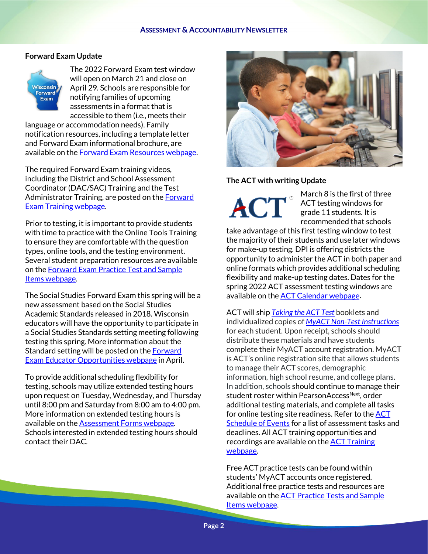#### **Forward Exam Update**



The 2022 Forward Exam test window will open on March 21 and close on April 29. Schools are responsible for notifying families of upcoming assessments in a format that is accessible to them (i.e., meets their

language or accommodation needs). Family notification resources, including a template letter and Forward Exam informational brochure, are available on th[e Forward Exam Resources webpage.](https://dpi.wi.gov/assessment/forward/resources#families)

The required Forward Exam training videos, including the District and School Assessment Coordinator (DAC/SAC) Training and the Test Administrator Training, are posted on th[e Forward](https://dpi.wi.gov/assessment/forward/trainings)  [Exam Training webpage.](https://dpi.wi.gov/assessment/forward/trainings)

Prior to testing, it is important to provide students with time to practice with the Online Tools Training to ensure they are comfortable with the question types, online tools, and the testing environment. Several student preparation resources are available on th[e Forward Exam Practice Test and Sample](https://dpi.wi.gov/assessment/forward/sample-items)  [Items webpage.](https://dpi.wi.gov/assessment/forward/sample-items) 

The Social Studies Forward Exam this spring will be a new assessment based on the Social Studies Academic Standards released in 2018. Wisconsin educators will have the opportunity to participate in a Social Studies Standards setting meeting following testing this spring. More information about the Standard setting will be posted on th[e Forward](https://dpi.wi.gov/assessment/forward/educator-involvement)  [Exam Educator Opportunities webpage](https://dpi.wi.gov/assessment/forward/educator-involvement) in April.

To provide additional scheduling flexibility for testing, schools may utilize extended testing hours upon request on Tuesday, Wednesday, and Thursday until 8:00 pm and Saturday from 8:00 am to 4:00 pm. More information on extended testing hours is available on the **Assessment Forms webpage**. Schools interested in extended testing hours should contact their DAC.



**The ACT with writing Update**

March 8 is the first of three ACT testing windows for grade 11 students. It is recommended that schools

take advantage of this first testing window to test the majority of their students and use later windows for make-up testing. DPI is offering districts the opportunity to administer the ACT in both paper and online formats which provides additional scheduling flexibility and make-up testing dates. Dates for the spring 2022 ACT assessment testing windows are available on the **ACT Calendar webpage**.

ACT will ship *[Taking the ACT](https://www.act.org/content/dam/act/secured/documents/TakingTheACT-StateandDistrict.pdf) Test* booklets and individualized copies of *[MyACT Non-Test Instructions](https://www.act.org/content/dam/act/unsecured/documents/NontestInformationOnlineTestingForm.pdf)* for each student. Upon receipt, schools should distribute these materials and have students complete their MyACT account registration. MyACT is ACT's online registration site that allows students to manage their ACT scores, demographic information, high school resume, and college plans. In addition, schools should continue to manage their student roster within PearsonAccessNext, order additional testing materials, and complete all tasks for online testing site readiness. Refer to the **ACT** [Schedule of Events](https://dpi.wi.gov/assessment/act/calendar) for a list of assessment tasks and deadlines. All ACT training opportunities and recordings are available on the **ACT Training** [webpage.](https://dpi.wi.gov/assessment/act/trainings) 

Free ACT practice tests can be found within students' MyACT accounts once registered. Additional free practice tests and resources are available on th[e ACT Practice Tests and Sample](https://dpi.wi.gov/assessment/act/practice-test)  [Items webpage.](https://dpi.wi.gov/assessment/act/practice-test)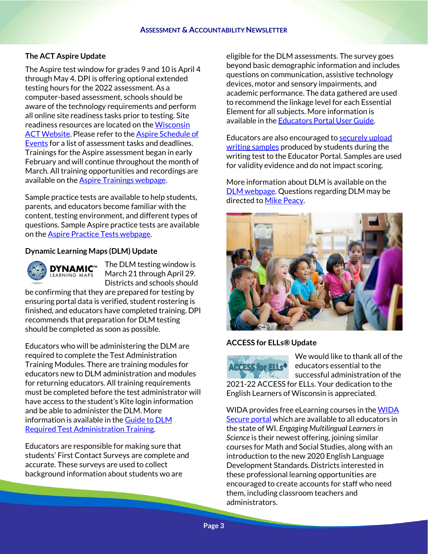#### **The ACT Aspire Update**

The Aspire test window for grades 9 and 10 is April 4 through May 4. DPI is offering optional extended testing hours for the 2022 assessment. As a computer-based assessment, schools should be aware of the technology requirements and perform all online site readiness tasks prior to testing. Site readiness resources are located on the [Wisconsin](https://www.act.org/content/act/en/products-and-services/state-and-district-solutions/wisconsin/aspire.html#step2)  **[ACT Website.](https://www.act.org/content/act/en/products-and-services/state-and-district-solutions/wisconsin/aspire.html#step2) Please refer to the Aspire Schedule of** [Events](https://dpi.wi.gov/assessment/act/aspire/calendar) for a list of assessment tasks and deadlines. Trainings for the Aspire assessment began in early February and will continue throughout the month of March. All training opportunities and recordings are available on the **Aspire Trainings webpage.** 

Sample practice tests are available to help students, parents, and educators become familiar with the content, testing environment, and different types of questions. Sample Aspire practice tests are available on the **Aspire Practice Tests webpage.** 

#### **Dynamic Learning Maps (DLM) Update**



The DLM testing window is March 21 through April 29. Districts and schools should

be confirming that they are prepared for testing by ensuring portal data is verified, student rostering is finished, and educators have completed training. DPI recommends that preparation for DLM testing should be completed as soon as possible.

Educators who will be administering the DLM are required to complete the Test Administration Training Modules. There are training modules for educators new to DLM administration and modules for returning educators. All training requirements must be completed before the test administrator will have access to the student's Kite login information and be able to administer the DLM. More information is available in the [Guide to DLM](https://dynamiclearningmaps.org/sites/default/files/documents/Manuals_Blueprints/Guide_to_Required_Training_YE.pdf)  [Required Test Administration Training.](https://dynamiclearningmaps.org/sites/default/files/documents/Manuals_Blueprints/Guide_to_Required_Training_YE.pdf)

Educators are responsible for making sure that students' First Contact Surveys are complete and accurate. These surveys are used to collect background information about students wo are

eligible for the DLM assessments. The survey goes beyond basic demographic information and includes questions on communication, assistive technology devices, motor and sensory impairments, and academic performance. The data gathered are used to recommend the linkage level for each Essential Element for all subjects. More information is available in th[e Educators Portal User Guide.](https://dynamiclearningmaps.org/sites/default/files/documents/Manuals_Blueprints/Educator_Portal_User_Guide.pdf)

Educators are also encouraged to securely upload [writing samples](https://dynamiclearningmaps.org/sites/default/files/documents/StateBonusItems/Submitting_Student_Writing_Samples_in_Educator_Portal_ADA_compliant.pdf) produced by students during the writing test to the Educator Portal. Samples are used for validity evidence and do not impact scoring.

More information about DLM is available on the [DLM webpage.](https://dpi.wi.gov/assessment/dlm) Questions regarding DLM may be directed to [Mike Peacy.](mailto:michael.peacy@dpi.wi.gov?subject=DLM%20Question)



#### **ACCESS for ELLs® Update**



We would like to thank all of the educators essential to the successful administration of the 2021-22 ACCESS for ELLs. Your dedication to the

English Learners of Wisconsin is appreciated.

WIDA provides free eLearning courses in th[e WIDA](https://portal.wida.us/)  [Secure portal](https://portal.wida.us/) which are available to all educators in the state of WI. *Engaging Multilingual Learners in Science* is their newest offering, joining similar courses for Math and Social Studies, along with an introduction to the new 2020 English Language Development Standards. Districts interested in these professional learning opportunities are encouraged to create accounts for staff who need them, including classroom teachers and administrators.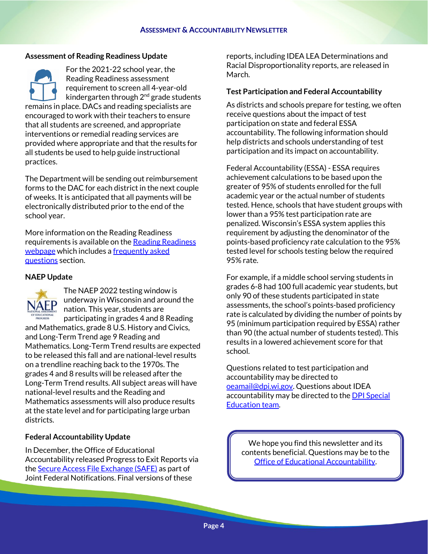#### **Assessment of Reading Readiness Update**

For the 2021-22 school year, the Reading Readiness assessment requirement to screen all 4-year-old kindergarten through  $2<sup>nd</sup>$  grade students remains in place. DACs and reading specialists are encouraged to work with their teachers to ensure that all students are screened, and appropriate interventions or remedial reading services are provided where appropriate and that the results for all students be used to help guide instructional practices.

The Department will be sending out reimbursement forms to the DAC for each district in the next couple of weeks. It is anticipated that all payments will be electronically distributed prior to the end of the school year.

More information on the Reading Readiness requirements is available on th[e Reading Readiness](http://dpi.wi.gov/assessment/reading-readiness)  [webpage](http://dpi.wi.gov/assessment/reading-readiness) which includes a frequently asked [questions](http://dpi.wi.gov/assessment/reading-readiness/FAQ) section.

#### **NAEP Update**



The NAEP 2022 testing window is underway in Wisconsin and around the nation. This year, students are participating in grades 4 and 8 Reading

and Mathematics, grade 8 U.S. History and Civics, and Long-Term Trend age 9 Reading and Mathematics. Long-Term Trend results are expected to be released this fall and are national-level results on a trendline reaching back to the 1970s. The grades 4 and 8 results will be released after the Long-Term Trend results. All subject areas will have national-level results and the Reading and Mathematics assessments will also produce results at the state level and for participating large urban districts.

#### **Federal Accountability Update**

In December, the Office of Educational Accountability released Progress to Exit Reports via the [Secure Access File Exchange \(SAFE\)](https://dpi.wi.gov/wisedash/districts/safe) as part of Joint Federal Notifications. Final versions of these

reports, including IDEA LEA Determinations and Racial Disproportionality reports, are released in March.

#### **Test Participation and Federal Accountability**

As districts and schools prepare for testing, we often receive questions about the impact of test participation on state and federal ESSA accountability. The following information should help districts and schools understanding of test participation and its impact on accountability.

[Federal Accountability \(ESSA\)](https://dpi.wi.gov/accountability/federal) - ESSA requires achievement calculations to be based upon the greater of 95% of students enrolled for the full academic year or the actual number of students tested. Hence, schools that have student groups with lower than a 95% test participation rate are penalized. Wisconsin's ESSA system applies this requirement by adjusting the denominator of the points-based proficiency rate calculation to the 95% tested level for schools testing below the required 95% rate.

For example, if a middle school serving students in grades 6-8 had 100 full academic year students, but only 90 of these students participated in state assessments, the school's points-based proficiency rate is calculated by dividing the number of points by 95 (minimum participation required by ESSA) rather than 90 (the actual number of students tested). This results in a lowered achievement score for that school.

Questions related to test participation and accountability may be directed to [oeamail@dpi.wi.gov.](mailto:oeamail@dpi.wi.gov) Questions about IDEA accountability may be directed to the **DPI Special** [Education team.](https://dpi.wi.gov/support/contact-special-education)

We hope you find this newsletter and its contents beneficial. Questions may be to the [Office of Educational Accountability.](https://dpi.wi.gov/osa-oea/staff-directory)